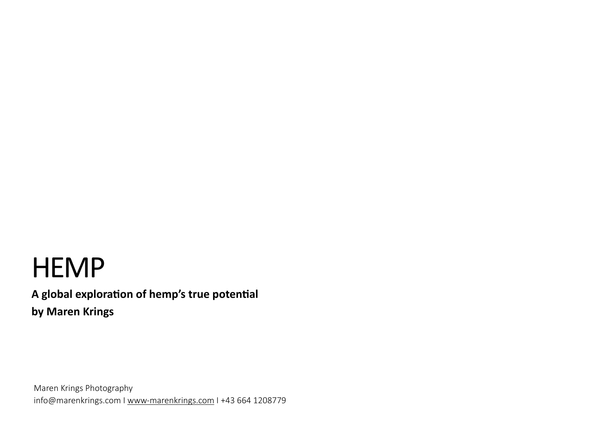# **HEMP**

A global exploration of hemp's true potential **by Maren Krings** 

Maren Krings Photography [info@marenkrings.com](mailto:info@marenkrings.com) I [www-marenkrings.com](http://www-marenkrings.com) I +43 664 1208779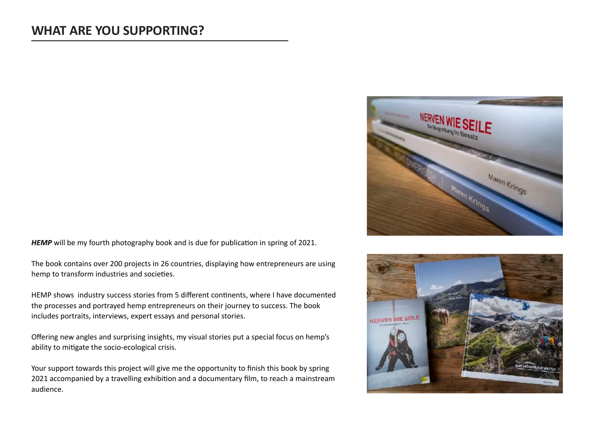### **WHAT ARE YOU SUPPORTING?**



*HEMP* will be my fourth photography book and is due for publication in spring of 2021.

The book contains over 200 projects in 26 countries, displaying how entrepreneurs are using hemp to transform industries and societies.

HEMP shows industry success stories from 5 different continents, where I have documented the processes and portrayed hemp entrepreneurs on their journey to success. The book includes portraits, interviews, expert essays and personal stories.

Offering new angles and surprising insights, my visual stories put a special focus on hemp's ability to mitigate the socio-ecological crisis.

Your support towards this project will give me the opportunity to finish this book by spring 2021 accompanied by a travelling exhibition and a documentary film, to reach a mainstream audience.

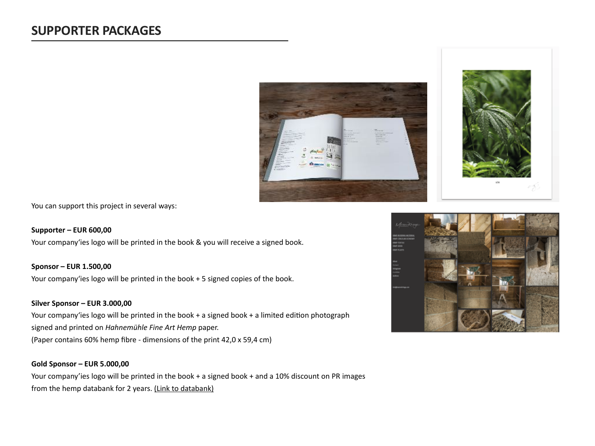



You can support this project in several ways:

#### **Supporter – EUR 600,00**

Your company'ies logo will be printed in the book & you will receive a signed book.

#### **Sponsor – EUR 1.500,00**

Your company'ies logo will be printed in the book + 5 signed copies of the book.

#### **Silver Sponsor – EUR 3.000,00**

Your company'ies logo will be printed in the book + a signed book + a limited edition photograph signed and printed on *Hahnemühle Fine Art Hemp* paper. (Paper contains 60% hemp fibre - dimensions of the print 42,0 x 59,4 cm)

#### **Gold Sponsor – EUR 5.000,00**

Your company'ies logo will be printed in the book + a signed book + and a 10% discount on PR images from the hemp databank for 2 years. [\(Link to databank\)](https://marenkrings.photoshelter.com/portfolio/G0000yw3d1uLAk58)

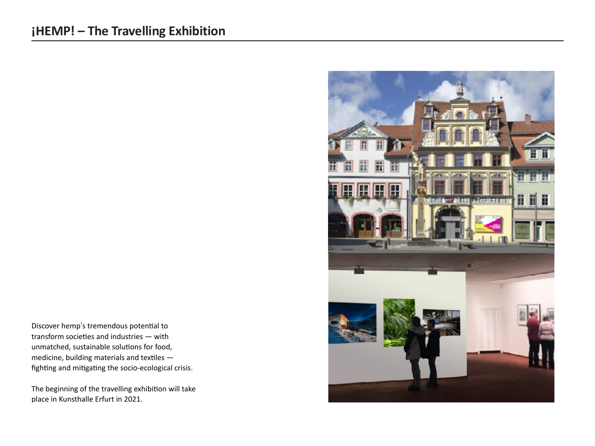## **¡HEMP! – The Travelling Exhibition**

Discover hemp's tremendous potential to transform societies and industries  $-$  with unmatched, sustainable solutions for food, medicine, building materials and textiles  $$ fighting and mitigating the socio-ecological crisis.

The beginning of the travelling exhibition will take place in [Kunsthalle Erfurt](https://kunstmuseen.erfurt.de/km/de/kunsthalle/index.html) in 2021.

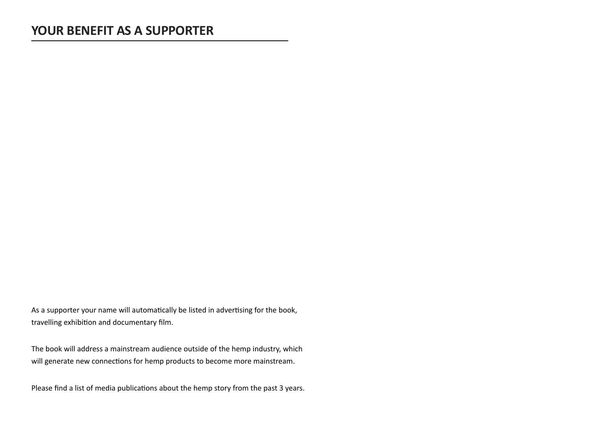As a supporter your name will automatically be listed in advertising for the book, travelling exhibition and documentary film.

The book will address a mainstream audience outside of the hemp industry, which will generate new connections for hemp products to become more mainstream.

Please find a list of media publications about the hemp story from the past 3 years.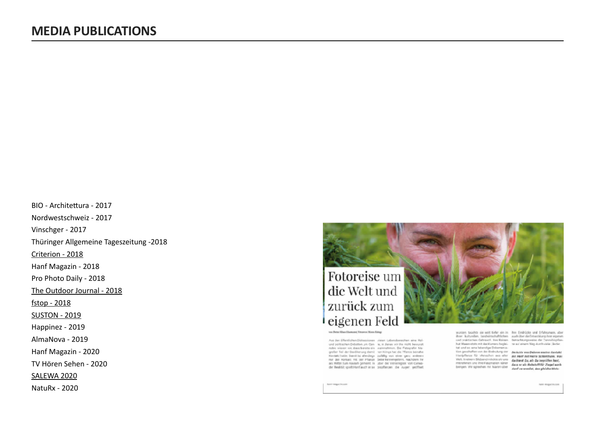BIO - Architettura - 2017 Nordwestschweiz - 2017 Vinschger - 2017 Thüringer Allgemeine Tageszeitung -2018 [Criterion - 2018](https://criterion.ch/bb_de) Hanf Magazin - 2018 Pro Photo Daily - 2018 [The Outdoor Journal - 2018](https://www.outdoorjournal.com/featured/opinion-editorial/hemp-little-plant-powerful-enough-spark-big-change/) [fstop - 2018](https://fstopgear.com/stories/features/maren-krings-hemp)  [SUSTON - 2019](http://sustonmagazine.com/2019/07/12/renewal-is-in-the-air-outdoor-futures/) Happinez - 2019 AlmaNova - 2019 Hanf Magazin - 2020 TV Hören Sehen - 2020 [SALEWA 2020](https://convention.oberalp.com/de/salewa/alpine-hemp) NatuRx - 2020



ton Deter Klass Glamons February Mares Krings

Aus den öffentlichen Diskussionen vielen Labensbereichen eine Rolund politischen Debitten um Can- ie, in denes wir ihn nicht bewurst nabis wisser wir, dass bereits ein warwrehmen. Die Fatografin Magnater Teil der Bevöllerung demit von Hüngs hat die Pfance beinahe Nembel Indie: Demil ist affectings publiky von einer ganz anderen mor der insmals mit der Planzs Seize kennengelerre. Nachdem her als Minister von Canada gemeent in andere der Western einer der Minister von Canada

wurden bruchte sie weit tiefer ein in ihre Eindrücke und Erfahrungen, aber ilver, kulturellen, landwirtschaftlichen auch über die Entwicklung hrer eigenen<br>und praktischen Gebrauch, Inre Beisen Betrachtungsweise der Dannsbispflanhat Maxen state mit der Kurrers heglei- zu auf einem Weg durchwiele (ästler, tet und so ene lebendge Dokumana-

bet and to see to touring the university. Beckeler was Delated easily founded.<br>Hangelberg: Sir Merschen and aller an east mit main accompanies, was<br>Well, International Sir Merschen and aller and part materials compatible. mitremen und ihre Fasznation sieher Anderen wie ein bes Freihard auch Asof recoverdet, dee gloiche kists-

new magazinazer